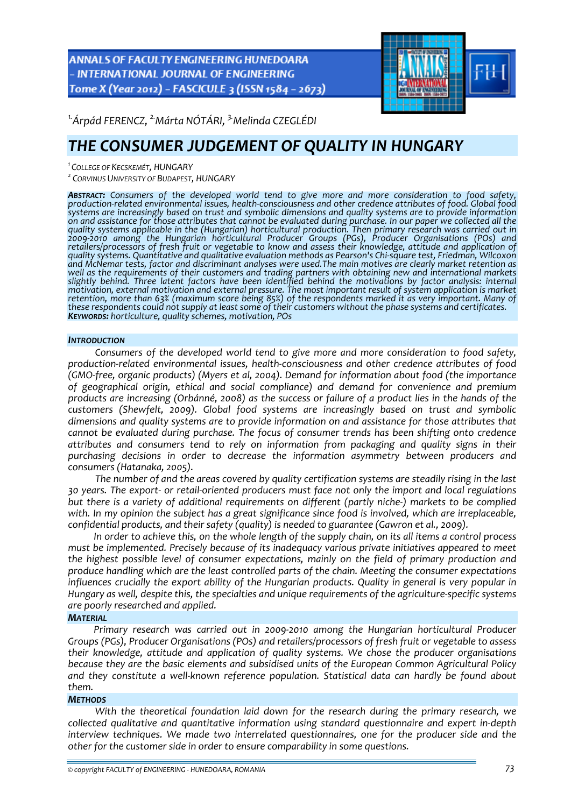ANNALS OF FACULTY ENGINEERING HUNEDOARA - INTERNATIONAL JOURNAL OF ENGINEERING Tome X (Year 2012) - FASCICULE 3 (ISSN 1584 - 2673)



*1.Árpád FERENCZ, 2.Márta NÓTÁRI, 3.Melinda CZEGLÉDI* 

# *THE CONSUMER JUDGEMENT OF QUALITY IN HUNGARY*

*1 COLLEGE OF KECSKEMÉT, HUNGARY*

*<sup>2</sup> CORVINUS UNIVERSITY OF BUDAPEST, HUNGARY*

ABSTRACT: Consumers of the developed world tend to give more and more consideration to food safety, production-related environmental issues, health-consciousness and other credence attributes of food. Global food *systems are increasingly based on trust and symbolic dimensions and quality systems are to provide information* on and assistance for those attributes that cannot be evaluated during purchase. In our paper we collected all the *quality systems applicable in the (Hungarian) horticultural production. Then primary research was carried out in 2009‐2010 among the Hungarian horticultural Producer Groups (PGs), Producer Organisations (POs) and* retailers/processors of fresh fruit or vegetable to know and assess their knowledge, attitude and application of<br>quality systems. Quantitative and qualitative evaluation methods as Pearson's Chi-square test, Friedman, Wilc *and McNemar tests, factor and discriminant analyses were used.The main motives are clearly market retention as well as the requirements of their customers and trading partners with obtaining new and international markets slightly behind. Three latent factors have been identified behind the motivations by factor analysis: internal motivation, external motivation and external pressure. The most important result of system application is market* these respondents could not supply at least some of their customers without the phase systems and certificates.<br>KEYWORDS: horticulture, quality schemes, motivation, POs

#### *INTRODUCTION*

*Consumers of the developed world tend to give more and more consideration to food safety, production‐related environmental issues, health‐consciousness and other credence attributes of food (GMO‐free, organic products) (Myers et al, 2004). Demand for information about food (the importance of geographical origin, ethical and social compliance) and demand for convenience and premium* products are increasing (Orbánné, 2008) as the success or failure of a product lies in the hands of the *customers (Shewfelt, 2009). Global food systems are increasingly based on trust and symbolic dimensions and quality systems are to provide information on and assistance for those attributes that cannot be evaluated during purchase. The focus of consumer trends has been shifting onto credence attributes and consumers tend to rely on information from packaging and quality signs in their purchasing decisions in order to decrease the information asymmetry between producers and consumers (Hatanaka, 2005).*

*The number of and the areas covered by quality certification systems are steadily rising in the last* 30 years. The export- or retail-oriented producers must face not only the import and local regulations but there is a variety of additional requirements on different (partly niche-) markets to be complied *with. In my opinion the subject has a great significance since food is involved, which are irreplaceable, confidential products, and their safety (quality) is needed to guarantee (Gawron et al., 2009).*

In order to achieve this, on the whole length of the supply chain, on its all items a control process *must be implemented. Precisely because of its inadequacy various private initiatives appeared to meet the highest possible level of consumer expectations, mainly on the field of primary production and produce handling which are the least controlled parts of the chain. Meeting the consumer expectations influences crucially the export ability of the Hungarian products. Quality in general is very popular in Hungary as well, despite this, the specialties and unique requirements of the agriculture‐specific systems are poorly researched and applied.*

#### *MATERIAL*

*Primary research was carried out in 2009‐2010 among the Hungarian horticultural Producer Groups (PGs), Producer Organisations (POs) and retailers/processors of fresh fruit or vegetable to assess their knowledge, attitude and application of quality systems. We chose the producer organisations because they are the basic elements and subsidised units of the European Common Agricultural Policy and they constitute a well‐known reference population. Statistical data can hardly be found about them.*

#### *METHODS*

*With the theoretical foundation laid down for the research during the primary research, we collected qualitative and quantitative information using standard questionnaire and expert in‐depth interview techniques. We made two interrelated questionnaires, one for the producer side and the other for the customer side in order to ensure comparability in some questions.*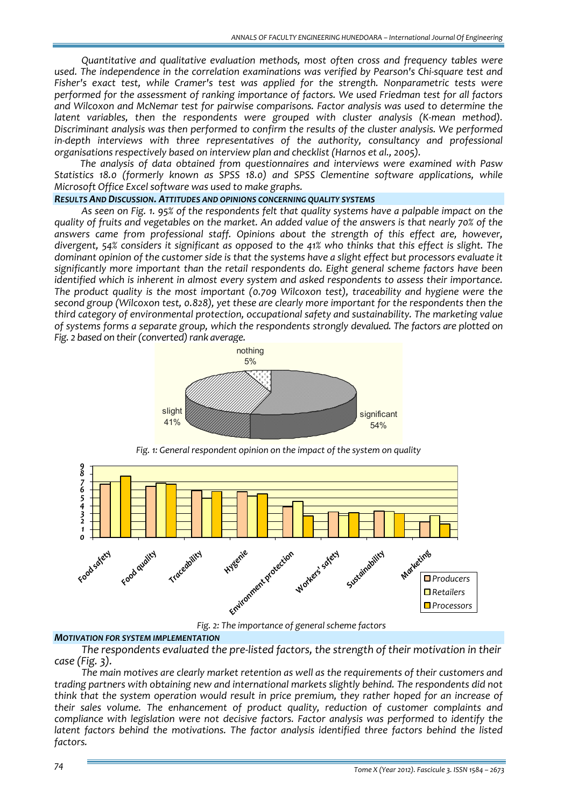*Quantitative and qualitative evaluation methods, most often cross and frequency tables were used. The independence in the correlation examinations was verified by Pearson's Chi‐square test and Fisher's exact test, while Cramer's test was applied for the strength. Nonparametric tests were performed for the assessment of ranking importance of factors. We used Friedman test for all factors and Wilcoxon and McNemar test for pairwise comparisons. Factor analysis was used to determine the latent variables, then the respondents were grouped with cluster analysis (K‐mean method). Discriminant analysis was then performed to confirm the results of the cluster analysis. We performed in‐depth interviews with three representatives of the authority, consultancy and professional organisations respectively based on interview plan and checklist (Harnos et al., 2005).*

*The analysis of data obtained from questionnaires and interviews were examined with Pasw Statistics 18.0 (formerly known as SPSS 18.0) and SPSS Clementine software applications, while Microsoft Office Excel software was used to make graphs.*

#### *RESULTS AND DISCUSSION. ATTITUDES AND OPINIONS CONCERNING QUALITY SYSTEMS*

As seen on Fig. 1. 95% of the respondents felt that quality systems have a palpable impact on the quality of fruits and vegetables on the market. An added value of the answers is that nearly 70% of the *answers came from professional staff. Opinions about the strength of this effect are, however,* divergent, 54% considers it significant as opposed to the 41% who thinks that this effect is slight. The dominant opinion of the customer side is that the systems have a slight effect but processors evaluate it *significantly more important than the retail respondents do. Eight general scheme factors have been identified which is inherent in almost every system and asked respondents to assess their importance. The product quality is the most important (0.709 Wilcoxon test), traceability and hygiene were the second group (Wilcoxon test, 0.828), yet these are clearly more important for the respondents then the third category of environmental protection, occupational safety and sustainability. The marketing value of systems forms a separate group, which the respondents strongly devalued. The factors are plotted on Fig. 2 based* on *their* (*converted*) *rank average.* 



*Fig. 1: General respondent opinion on the impact of the system on quality*



*Fig. 2: The importance of general scheme factors*

#### *MOTIVATION FOR SYSTEM IMPLEMENTATION*

*The respondents evaluated the pre‐listed factors, the strength of their motivation in their case (Fig. 3).* 

*The main motives are clearly market retention as well as the requirements of their customers and trading partners with obtaining new and international markets slightly behind. The respondents did not think that the system operation would result in price premium, they rather hoped for an increase of their sales volume. The enhancement of product quality, reduction of customer complaints and compliance with legislation were not decisive factors. Factor analysis was performed to identify the latent factors behind the motivations. The factor analysis identified three factors behind the listed factors.*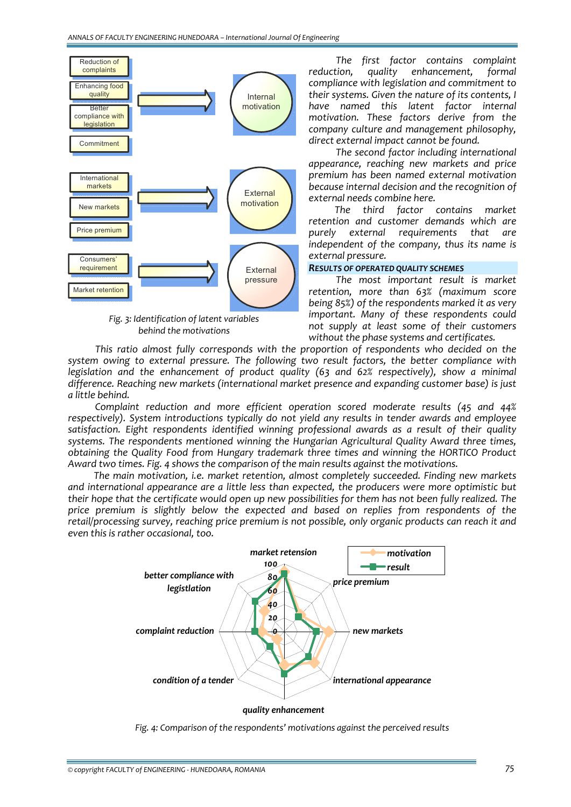

*behind the motivations*

*The first factor contains complaint reduction, quality enhancement, formal compliance with legislation and commitment to their systems. Given the nature of its contents, I have named this latent factor internal motivation. These factors derive from the company culture and management philosophy, direct external impact cannot be found.*

*The second factor including international appearance, reaching new markets and price premium has been named external motivation because internal decision and the recognition of external needs combine here.*

*The third factor contains market retention and customer demands which are purely external requirements that are independent of the company, thus its name is external pressure.*

## *RESULTS OF OPERATED QUALITY SCHEMES*

*The most important result is market retention, more than 63% (maximum score being 85%) of the respondents marked it as very important. Many of these respondents could not supply at least some of their customers without the phase systems and certificates.*

*This ratio almost fully corresponds with the proportion of respondents who decided on the system owing to external pressure. The following two result factors, the better compliance with legislation and the enhancement of product quality (63 and 62% respectively), show a minimal difference. Reaching new markets (international market presence and expanding customer base) is just a little behind.*

*Complaint reduction and more efficient operation scored moderate results (45 and 44% respectively). System introductions typically do not yield any results in tender awards and employee satisfaction. Eight respondents identified winning professional awards as a result of their quality systems. The respondents mentioned winning the Hungarian Agricultural Quality Award three times, obtaining the Quality Food from Hungary trademark three times and winning the HORTICO Product Award two times. Fig. 4 shows the comparison of the main results against the motivations.*

*The main motivation, i.e. market retention, almost completely succeeded. Finding new markets and international appearance are a little less than expected, the producers were more optimistic but* their hope that the certificate would open up new possibilities for them has not been fully realized. The *price premium is slightly below the expected and based on replies from respondents of the retail/processing survey, reaching price premium is not possible, only organic products can reach it and even this is rather occasional, too.*



*Fig. 4: Comparison of the respondents' motivations against the perceived results*